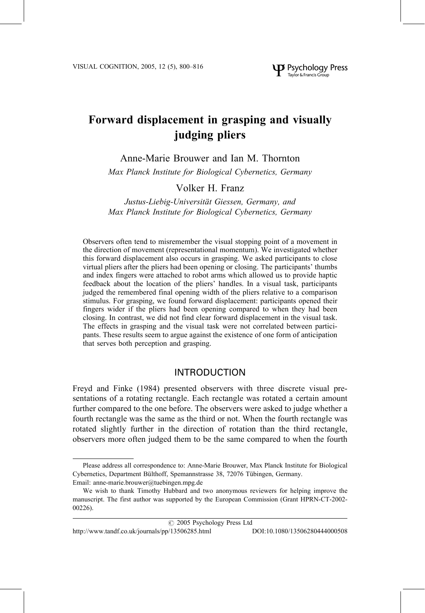# Forward displacement in grasping and visually judging pliers

Anne-Marie Brouwer and Ian M. Thornton

Max Planck Institute for Biological Cybernetics, Germany

# Volker H. Franz

Justus-Liebig-Universität Giessen, Germany, and Max Planck Institute for Biological Cybernetics, Germany

Observers often tend to misremember the visual stopping point of a movement in the direction of movement (representational momentum). We investigated whether this forward displacement also occurs in grasping. We asked participants to close virtual pliers after the pliers had been opening or closing. The participants' thumbs and index fingers were attached to robot arms which allowed us to provide haptic feedback about the location of the pliers' handles. In a visual task, participants judged the remembered final opening width of the pliers relative to a comparison stimulus. For grasping, we found forward displacement: participants opened their fingers wider if the pliers had been opening compared to when they had been closing. In contrast, we did not find clear forward displacement in the visual task. The effects in grasping and the visual task were not correlated between participants. These results seem to argue against the existence of one form of anticipation that serves both perception and grasping.

# **INTRODUCTION**

Freyd and Finke (1984) presented observers with three discrete visual presentations of a rotating rectangle. Each rectangle was rotated a certain amount further compared to the one before. The observers were asked to judge whether a fourth rectangle was the same as the third or not. When the fourth rectangle was rotated slightly further in the direction of rotation than the third rectangle, observers more often judged them to be the same compared to when the fourth

http://www.tandf.co.uk/journals/pp/13506285.html DOI:10.1080/13506280444000508

Please address all correspondence to: Anne-Marie Brouwer, Max Planck Institute for Biological Cybernetics, Department Bülthoff, Spemannstrasse 38, 72076 Tübingen, Germany. Email: anne-marie.brouwer@tuebingen.mpg.de

We wish to thank Timothy Hubbard and two anonymous reviewers for helping improve the manuscript. The first author was supported by the European Commission (Grant HPRN-CT-2002- $00226$ ).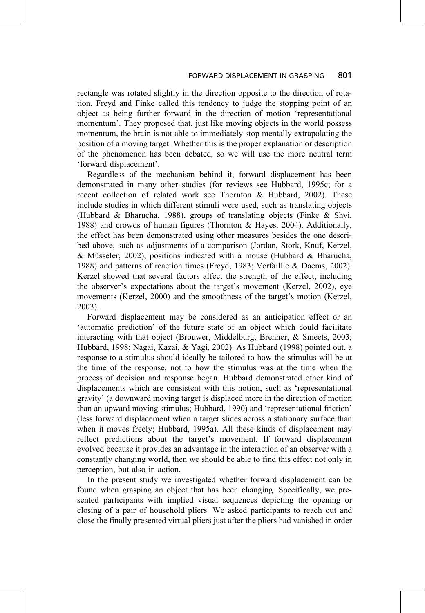rectangle was rotated slightly in the direction opposite to the direction of rotation. Freyd and Finke called this tendency to judge the stopping point of an object as being further forward in the direction of motion 'representational momentum'. They proposed that, just like moving objects in the world possess momentum, the brain is not able to immediately stop mentally extrapolating the position of a moving target. Whether this is the proper explanation or description of the phenomenon has been debated, so we will use the more neutral term 'forward displacement'.

Regardless of the mechanism behind it, forward displacement has been demonstrated in many other studies (for reviews see Hubbard, 1995c; for a recent collection of related work see Thornton & Hubbard, 2002). These include studies in which different stimuli were used, such as translating objects (Hubbard & Bharucha, 1988), groups of translating objects (Finke & Shyi, 1988) and crowds of human figures (Thornton & Hayes, 2004). Additionally, the effect has been demonstrated using other measures besides the one described above, such as adjustments of a comparison (Jordan, Stork, Knuf, Kerzel, & Müsseler, 2002), positions indicated with a mouse (Hubbard & Bharucha, 1988) and patterns of reaction times (Freyd, 1983; Verfaillie & Daems, 2002). Kerzel showed that several factors affect the strength of the effect, including the observer's expectations about the target's movement (Kerzel, 2002), eye movements (Kerzel, 2000) and the smoothness of the target's motion (Kerzel,  $2003$ ).

Forward displacement may be considered as an anticipation effect or an 'automatic prediction' of the future state of an object which could facilitate interacting with that object (Brouwer, Middelburg, Brenner, & Smeets, 2003; Hubbard, 1998; Nagai, Kazai, & Yagi, 2002). As Hubbard (1998) pointed out, a response to a stimulus should ideally be tailored to how the stimulus will be at the time of the response, not to how the stimulus was at the time when the process of decision and response began. Hubbard demonstrated other kind of displacements which are consistent with this notion, such as 'representational gravity' (a downward moving target is displaced more in the direction of motion than an upward moving stimulus; Hubbard, 1990) and 'representational friction' (less forward displacement when a target slides across a stationary surface than when it moves freely; Hubbard, 1995a). All these kinds of displacement may reflect predictions about the target's movement. If forward displacement evolved because it provides an advantage in the interaction of an observer with a constantly changing world, then we should be able to find this effect not only in perception, but also in action.

In the present study we investigated whether forward displacement can be found when grasping an object that has been changing. Specifically, we presented participants with implied visual sequences depicting the opening or closing of a pair of household pliers. We asked participants to reach out and close the finally presented virtual pliers just after the pliers had vanished in order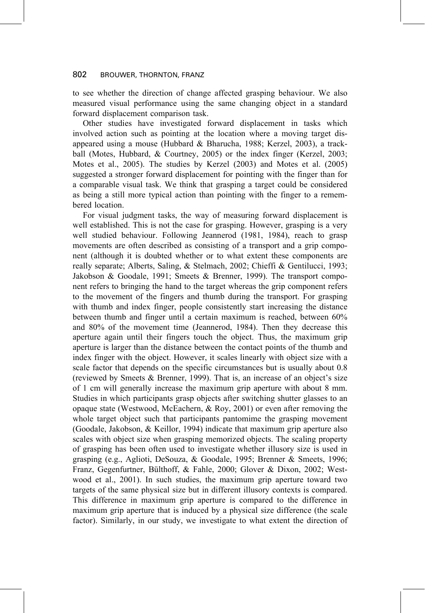to see whether the direction of change affected grasping behaviour. We also measured visual performance using the same changing object in a standard forward displacement comparison task.

Other studies have investigated forward displacement in tasks which involved action such as pointing at the location where a moving target disappeared using a mouse (Hubbard & Bharucha, 1988; Kerzel, 2003), a trackball (Motes, Hubbard, & Courtney, 2005) or the index finger (Kerzel, 2003; Motes et al., 2005). The studies by Kerzel (2003) and Motes et al. (2005) suggested a stronger forward displacement for pointing with the finger than for a comparable visual task. We think that grasping a target could be considered as being a still more typical action than pointing with the finger to a remembered location.

For visual judgment tasks, the way of measuring forward displacement is well established. This is not the case for grasping. However, grasping is a very well studied behaviour. Following Jeannerod (1981, 1984), reach to grasp movements are often described as consisting of a transport and a grip component (although it is doubted whether or to what extent these components are really separate; Alberts, Saling, & Stelmach, 2002; Chieffi & Gentilucci, 1993; Jakobson & Goodale, 1991; Smeets & Brenner, 1999). The transport component refers to bringing the hand to the target whereas the grip component refers to the movement of the fingers and thumb during the transport. For grasping with thumb and index finger, people consistently start increasing the distance between thumb and finger until a certain maximum is reached, between 60% and 80% of the movement time (Jeannerod, 1984). Then they decrease this aperture again until their fingers touch the object. Thus, the maximum grip aperture is larger than the distance between the contact points of the thumb and index finger with the object. However, it scales linearly with object size with a scale factor that depends on the specific circumstances but is usually about 0.8 (reviewed by Smeets & Brenner, 1999). That is, an increase of an object's size of 1 cm will generally increase the maximum grip aperture with about 8 mm. Studies in which participants grasp objects after switching shutter glasses to an opaque state (Westwood, McEachern, & Roy, 2001) or even after removing the whole target object such that participants pantomime the grasping movement (Goodale, Jakobson, & Keillor, 1994) indicate that maximum grip aperture also scales with object size when grasping memorized objects. The scaling property of grasping has been often used to investigate whether illusory size is used in grasping (e.g., Aglioti, DeSouza, & Goodale, 1995; Brenner & Smeets, 1996; Franz, Gegenfurtner, Bülthoff, & Fahle, 2000; Glover & Dixon, 2002; Westwood et al., 2001). In such studies, the maximum grip aperture toward two targets of the same physical size but in different illusory contexts is compared. This difference in maximum grip aperture is compared to the difference in maximum grip aperture that is induced by a physical size difference (the scale factor). Similarly, in our study, we investigate to what extent the direction of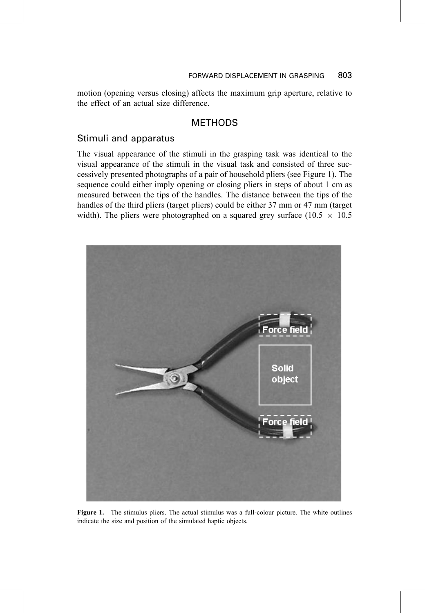motion (opening versus closing) affects the maximum grip aperture, relative to the effect of an actual size difference.

# **METHODS**

# Stimuli and apparatus

The visual appearance of the stimuli in the grasping task was identical to the visual appearance of the stimuli in the visual task and consisted of three successively presented photographs of a pair of household pliers (see Figure 1). The sequence could either imply opening or closing pliers in steps of about 1 cm as measured between the tips of the handles. The distance between the tips of the handles of the third pliers (target pliers) could be either 37 mm or 47 mm (target width). The pliers were photographed on a squared grey surface (10.5  $\times$  10.5



Figure 1. The stimulus pliers. The actual stimulus was a full-colour picture. The white outlines indicate the size and position of the simulated haptic objects.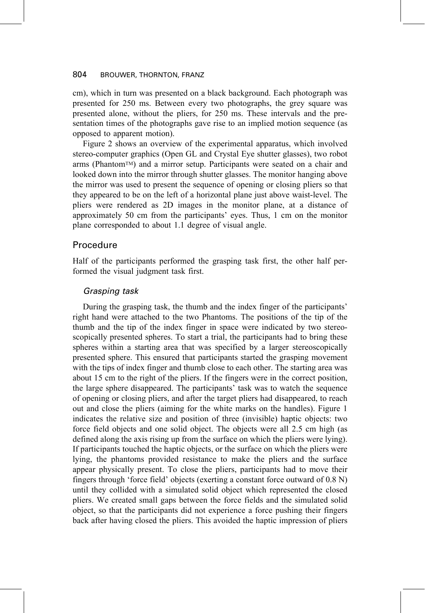cm), which in turn was presented on a black background. Each photograph was presented for 250 ms. Between every two photographs, the grey square was presented alone, without the pliers, for 250 ms. These intervals and the presentation times of the photographs gave rise to an implied motion sequence (as opposed to apparent motion).

Figure 2 shows an overview of the experimental apparatus, which involved stereo-computer graphics (Open GL and Crystal Eye shutter glasses), two robot arms (Phantom™) and a mirror setup. Participants were seated on a chair and looked down into the mirror through shutter glasses. The monitor hanging above the mirror was used to present the sequence of opening or closing pliers so that they appeared to be on the left of a horizontal plane just above waist-level. The pliers were rendered as 2D images in the monitor plane, at a distance of approximately 50 cm from the participants' eyes. Thus, 1 cm on the monitor plane corresponded to about 1.1 degree of visual angle.

## Procedure

Half of the participants performed the grasping task first, the other half performed the visual judgment task first.

### Grasping task

During the grasping task, the thumb and the index finger of the participants' right hand were attached to the two Phantoms. The positions of the tip of the thumb and the tip of the index finger in space were indicated by two stereoscopically presented spheres. To start a trial, the participants had to bring these spheres within a starting area that was specified by a larger stereoscopically presented sphere. This ensured that participants started the grasping movement with the tips of index finger and thumb close to each other. The starting area was about 15 cm to the right of the pliers. If the fingers were in the correct position, the large sphere disappeared. The participants' task was to watch the sequence of opening or closing pliers, and after the target pliers had disappeared, to reach out and close the pliers (aiming for the white marks on the handles). Figure 1 indicates the relative size and position of three (invisible) haptic objects: two force field objects and one solid object. The objects were all 2.5 cm high (as defined along the axis rising up from the surface on which the pliers were lying). If participants touched the haptic objects, or the surface on which the pliers were lying, the phantoms provided resistance to make the pliers and the surface appear physically present. To close the pliers, participants had to move their fingers through 'force field' objects (exerting a constant force outward of 0.8 N) until they collided with a simulated solid object which represented the closed pliers. We created small gaps between the force fields and the simulated solid object, so that the participants did not experience a force pushing their fingers back after having closed the pliers. This avoided the haptic impression of pliers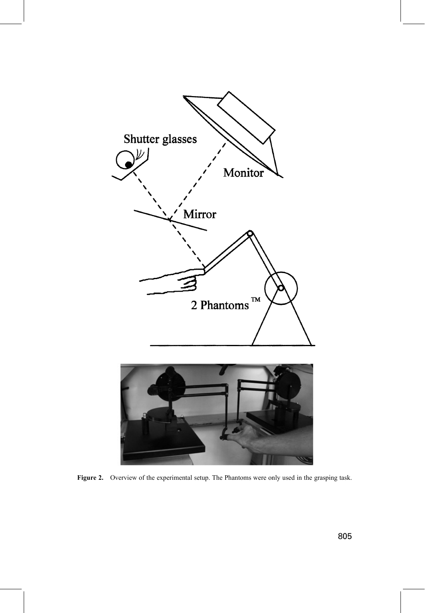

Figure 2. Overview of the experimental setup. The Phantoms were only used in the grasping task.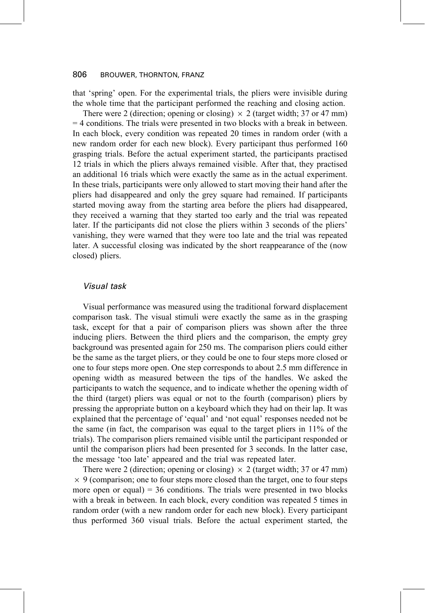that 'spring' open. For the experimental trials, the pliers were invisible during the whole time that the participant performed the reaching and closing action.

There were 2 (direction; opening or closing)  $\times$  2 (target width; 37 or 47 mm)  $=$  4 conditions. The trials were presented in two blocks with a break in between. In each block, every condition was repeated 20 times in random order (with a new random order for each new block). Every participant thus performed 160 grasping trials. Before the actual experiment started, the participants practised 12 trials in which the pliers always remained visible. After that, they practised an additional 16 trials which were exactly the same as in the actual experiment. In these trials, participants were only allowed to start moving their hand after the pliers had disappeared and only the grey square had remained. If participants started moving away from the starting area before the pliers had disappeared, they received a warning that they started too early and the trial was repeated later. If the participants did not close the pliers within 3 seconds of the pliers' vanishing, they were warned that they were too late and the trial was repeated later. A successful closing was indicated by the short reappearance of the (now closed) pliers.

### Visual task

Visual performance was measured using the traditional forward displacement comparison task. The visual stimuli were exactly the same as in the grasping task, except for that a pair of comparison pliers was shown after the three inducing pliers. Between the third pliers and the comparison, the empty grey background was presented again for 250 ms. The comparison pliers could either be the same as the target pliers, or they could be one to four steps more closed or one to four steps more open. One step corresponds to about 2.5 mm difference in opening width as measured between the tips of the handles. We asked the participants to watch the sequence, and to indicate whether the opening width of the third (target) pliers was equal or not to the fourth (comparison) pliers by pressing the appropriate button on a keyboard which they had on their lap. It was explained that the percentage of 'equal' and 'not equal' responses needed not be the same (in fact, the comparison was equal to the target pliers in 11% of the trials). The comparison pliers remained visible until the participant responded or until the comparison pliers had been presented for 3 seconds. In the latter case, the message 'too late' appeared and the trial was repeated later.

There were 2 (direction; opening or closing)  $\times$  2 (target width; 37 or 47 mm)  $\times$  9 (comparison; one to four steps more closed than the target, one to four steps more open or equal) =  $36$  conditions. The trials were presented in two blocks with a break in between. In each block, every condition was repeated 5 times in random order (with a new random order for each new block). Every participant thus performed 360 visual trials. Before the actual experiment started, the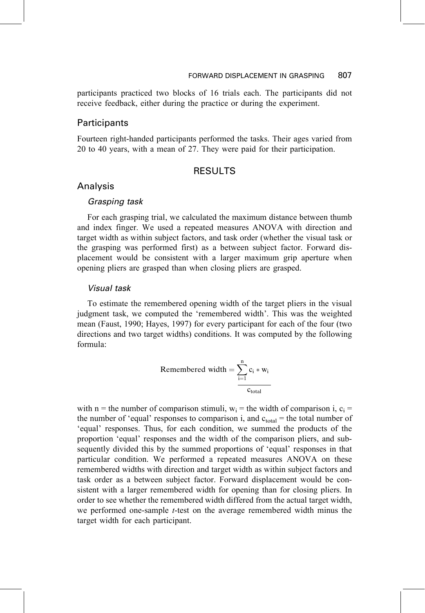### 807 FORWARD DISPLACEMENT IN GRASPING

participants practiced two blocks of 16 trials each. The participants did not receive feedback, either during the practice or during the experiment.

# Participants

Fourteen right-handed participants performed the tasks. Their ages varied from 20 to 40 years, with a mean of 27. They were paid for their participation.

# **RESULTS**

# Analysis

### Grasping task

For each grasping trial, we calculated the maximum distance between thumb and index finger. We used a repeated measures ANOVA with direction and target width as within subject factors, and task order (whether the visual task or the grasping was performed first) as a between subject factor. Forward displacement would be consistent with a larger maximum grip aperture when opening pliers are grasped than when closing pliers are grasped.

### **Visual task**

To estimate the remembered opening width of the target pliers in the visual judgment task, we computed the 'remembered width'. This was the weighted mean (Faust, 1990; Hayes, 1997) for every participant for each of the four (two directions and two target widths) conditions. It was computed by the following formula:

Remembered width 
$$
=\sum_{i=1}^{n} c_i * w_i
$$

with n = the number of comparison stimuli,  $w_i$  = the width of comparison i,  $c_i$  = the number of 'equal' responses to comparison i, and  $c_{total}$  = the total number of 'equal' responses. Thus, for each condition, we summed the products of the proportion 'equal' responses and the width of the comparison pliers, and subsequently divided this by the summed proportions of 'equal' responses in that particular condition. We performed a repeated measures ANOVA on these remembered widths with direction and target width as within subject factors and task order as a between subject factor. Forward displacement would be consistent with a larger remembered width for opening than for closing pliers. In order to see whether the remembered width differed from the actual target width, we performed one-sample *t*-test on the average remembered width minus the target width for each participant.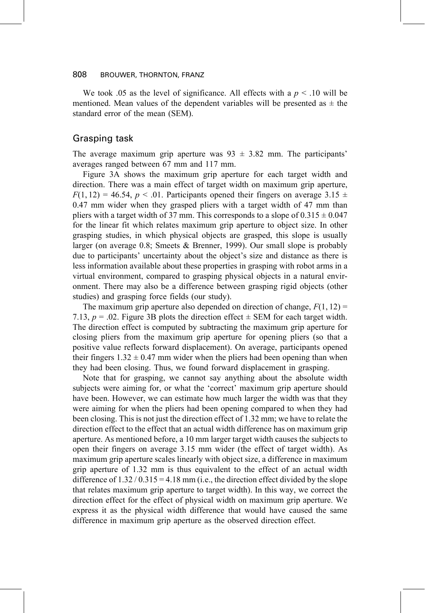We took .05 as the level of significance. All effects with a  $p < .10$  will be mentioned. Mean values of the dependent variables will be presented as  $\pm$  the standard error of the mean (SEM).

### Grasping task

The average maximum grip aperture was  $93 \pm 3.82$  mm. The participants' averages ranged between 67 mm and 117 mm.

Figure 3A shows the maximum grip aperture for each target width and direction. There was a main effect of target width on maximum grip aperture,  $F(1, 12) = 46.54$ ,  $p < .01$ . Participants opened their fingers on average 3.15  $\pm$ 0.47 mm wider when they grasped pliers with a target width of 47 mm than pliers with a target width of 37 mm. This corresponds to a slope of  $0.315 \pm 0.047$ for the linear fit which relates maximum grip aperture to object size. In other grasping studies, in which physical objects are grasped, this slope is usually larger (on average 0.8; Smeets & Brenner, 1999). Our small slope is probably due to participants' uncertainty about the object's size and distance as there is less information available about these properties in grasping with robot arms in a virtual environment, compared to grasping physical objects in a natural environment. There may also be a difference between grasping rigid objects (other studies) and grasping force fields (our study).

The maximum grip aperture also depended on direction of change,  $F(1, 12)$  = 7.13,  $p = .02$ . Figure 3B plots the direction effect  $\pm$  SEM for each target width. The direction effect is computed by subtracting the maximum grip aperture for closing pliers from the maximum grip aperture for opening pliers (so that a positive value reflects forward displacement). On average, participants opened their fingers  $1.32 \pm 0.47$  mm wider when the pliers had been opening than when they had been closing. Thus, we found forward displacement in grasping.

Note that for grasping, we cannot say anything about the absolute width subjects were aiming for, or what the 'correct' maximum grip aperture should have been. However, we can estimate how much larger the width was that they were aiming for when the pliers had been opening compared to when they had been closing. This is not just the direction effect of 1.32 mm; we have to relate the direction effect to the effect that an actual width difference has on maximum grip aperture. As mentioned before, a 10 mm larger target width causes the subjects to open their fingers on average 3.15 mm wider (the effect of target width). As maximum grip aperture scales linearly with object size, a difference in maximum grip aperture of 1.32 mm is thus equivalent to the effect of an actual width difference of  $1.32 / 0.315 = 4.18$  mm (i.e., the direction effect divided by the slope that relates maximum grip aperture to target width). In this way, we correct the direction effect for the effect of physical width on maximum grip aperture. We express it as the physical width difference that would have caused the same difference in maximum grip aperture as the observed direction effect.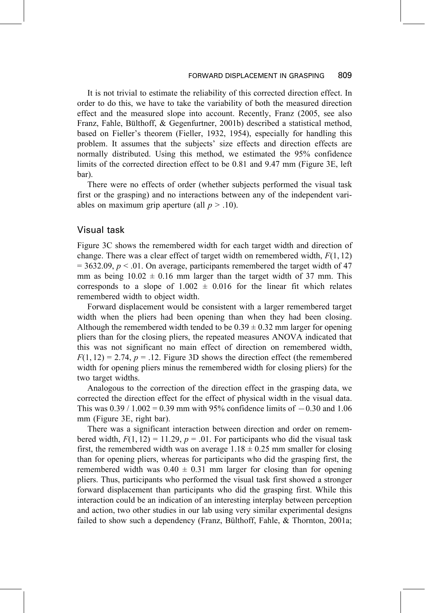It is not trivial to estimate the reliability of this corrected direction effect. In order to do this, we have to take the variability of both the measured direction effect and the measured slope into account. Recently, Franz (2005, see also Franz, Fahle, Bülthoff, & Gegenfurtner, 2001b) described a statistical method, based on Fieller's theorem (Fieller, 1932, 1954), especially for handling this problem. It assumes that the subjects' size effects and direction effects are normally distributed. Using this method, we estimated the 95% confidence limits of the corrected direction effect to be 0.81 and 9.47 mm (Figure 3E, left bar).

There were no effects of order (whether subjects performed the visual task first or the grasping) and no interactions between any of the independent variables on maximum grip aperture (all  $p > .10$ ).

### Visual task

Figure 3C shows the remembered width for each target width and direction of change. There was a clear effect of target width on remembered width,  $F(1, 12)$  $=$  3632.09,  $p \le 0.01$ . On average, participants remembered the target width of 47 mm as being  $10.02 \pm 0.16$  mm larger than the target width of 37 mm. This corresponds to a slope of  $1.002 \pm 0.016$  for the linear fit which relates remembered width to object width.

Forward displacement would be consistent with a larger remembered target width when the pliers had been opening than when they had been closing. Although the remembered width tended to be  $0.39 \pm 0.32$  mm larger for opening pliers than for the closing pliers, the repeated measures ANOVA indicated that this was not significant no main effect of direction on remembered width,  $F(1, 12) = 2.74$ ,  $p = .12$ . Figure 3D shows the direction effect (the remembered width for opening pliers minus the remembered width for closing pliers) for the two target widths.

Analogous to the correction of the direction effect in the grasping data, we corrected the direction effect for the effect of physical width in the visual data. This was  $0.39 / 1.002 = 0.39$  mm with 95% confidence limits of  $-0.30$  and 1.06 mm (Figure 3E, right bar).

There was a significant interaction between direction and order on remembered width,  $F(1, 12) = 11.29$ ,  $p = .01$ . For participants who did the visual task first, the remembered width was on average  $1.18 \pm 0.25$  mm smaller for closing than for opening pliers, whereas for participants who did the grasping first, the remembered width was  $0.40 \pm 0.31$  mm larger for closing than for opening pliers. Thus, participants who performed the visual task first showed a stronger forward displacement than participants who did the grasping first. While this interaction could be an indication of an interesting interplay between perception and action, two other studies in our lab using very similar experimental designs failed to show such a dependency (Franz, Bülthoff, Fahle, & Thornton, 2001a;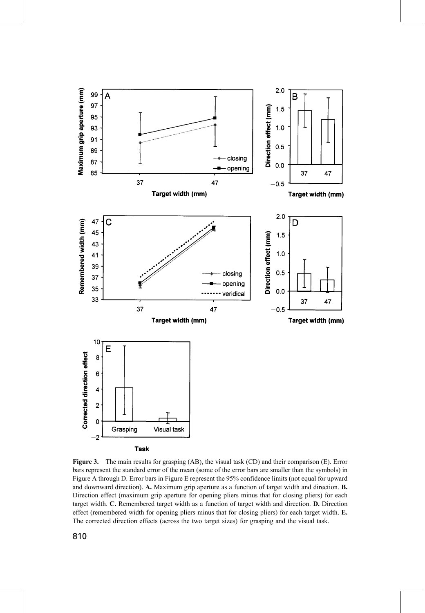

Figure 3. The main results for grasping (AB), the visual task (CD) and their comparison (E). Error bars represent the standard error of the mean (some of the error bars are smaller than the symbols) in Figure A through D. Error bars in Figure E represent the 95% confidence limits (not equal for upward and downward direction). A. Maximum grip aperture as a function of target width and direction. B. Direction effect (maximum grip aperture for opening pliers minus that for closing pliers) for each target width. C. Remembered target width as a function of target width and direction. D. Direction effect (remembered width for opening pliers minus that for closing pliers) for each target width. E. The corrected direction effects (across the two target sizes) for grasping and the visual task.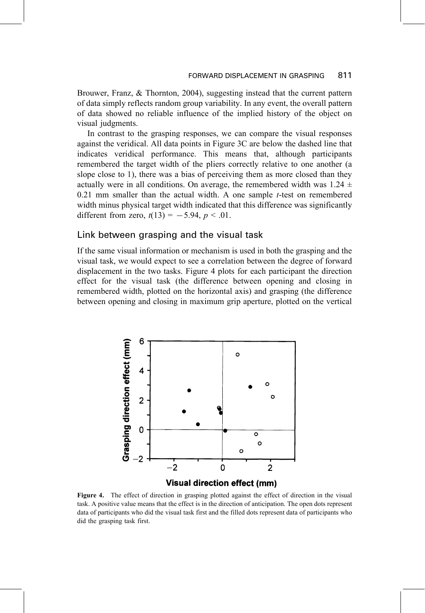Brouwer, Franz, & Thornton, 2004), suggesting instead that the current pattern of data simply reflects random group variability. In any event, the overall pattern of data showed no reliable influence of the implied history of the object on visual judgments.

In contrast to the grasping responses, we can compare the visual responses against the veridical. All data points in Figure 3C are below the dashed line that indicates veridical performance. This means that, although participants remembered the target width of the pliers correctly relative to one another (a slope close to 1), there was a bias of perceiving them as more closed than they actually were in all conditions. On average, the remembered width was 1.24  $\pm$  $0.21$  mm smaller than the actual width. A one sample *t*-test on remembered width minus physical target width indicated that this difference was significantly different from zero,  $t(13) = -5.94$ ,  $p < .01$ .

### Link between grasping and the visual task

If the same visual information or mechanism is used in both the grasping and the visual task, we would expect to see a correlation between the degree of forward displacement in the two tasks. Figure 4 plots for each participant the direction effect for the visual task (the difference between opening and closing in remembered width, plotted on the horizontal axis) and grasping (the difference between opening and closing in maximum grip aperture, plotted on the vertical



Figure 4. The effect of direction in grasping plotted against the effect of direction in the visual task. A positive value means that the effect is in the direction of anticipation. The open dots represent data of participants who did the visual task first and the filled dots represent data of participants who did the grasping task first.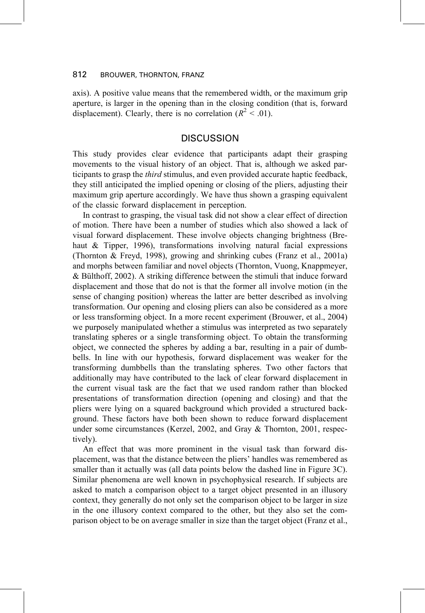axis). A positive value means that the remembered width, or the maximum grip aperture, is larger in the opening than in the closing condition (that is, forward displacement). Clearly, there is no correlation ( $R^2$  < .01).

# **DISCUSSION**

This study provides clear evidence that participants adapt their grasping movements to the visual history of an object. That is, although we asked participants to grasp the *third* stimulus, and even provided accurate haptic feedback, they still anticipated the implied opening or closing of the pliers, adjusting their maximum grip aperture accordingly. We have thus shown a grasping equivalent of the classic forward displacement in perception.

In contrast to grasping, the visual task did not show a clear effect of direction of motion. There have been a number of studies which also showed a lack of visual forward displacement. These involve objects changing brightness (Brehaut & Tipper, 1996), transformations involving natural facial expressions (Thornton & Freyd, 1998), growing and shrinking cubes (Franz et al., 2001a) and morphs between familiar and novel objects (Thornton, Vuong, Knappmeyer, & Bülthoff, 2002). A striking difference between the stimuli that induce forward displacement and those that do not is that the former all involve motion (in the sense of changing position) whereas the latter are better described as involving transformation. Our opening and closing pliers can also be considered as a more or less transforming object. In a more recent experiment (Brouwer, et al., 2004) we purposely manipulated whether a stimulus was interpreted as two separately translating spheres or a single transforming object. To obtain the transforming object, we connected the spheres by adding a bar, resulting in a pair of dumbbells. In line with our hypothesis, forward displacement was weaker for the transforming dumbbells than the translating spheres. Two other factors that additionally may have contributed to the lack of clear forward displacement in the current visual task are the fact that we used random rather than blocked presentations of transformation direction (opening and closing) and that the pliers were lying on a squared background which provided a structured background. These factors have both been shown to reduce forward displacement under some circumstances (Kerzel, 2002, and Gray & Thornton, 2001, respectively).

An effect that was more prominent in the visual task than forward displacement, was that the distance between the pliers' handles was remembered as smaller than it actually was (all data points below the dashed line in Figure 3C). Similar phenomena are well known in psychophysical research. If subjects are asked to match a comparison object to a target object presented in an illusory context, they generally do not only set the comparison object to be larger in size in the one illusory context compared to the other, but they also set the comparison object to be on average smaller in size than the target object (Franz et al.,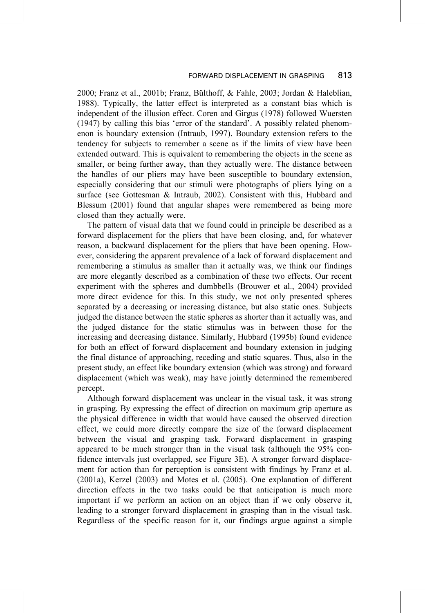#### FORWARD DISPLACEMENT IN GRASPING 813

2000; Franz et al., 2001b; Franz, Bülthoff, & Fahle, 2003; Jordan & Haleblian, 1988). Typically, the latter effect is interpreted as a constant bias which is independent of the illusion effect. Coren and Girgus (1978) followed Wuersten (1947) by calling this bias 'error of the standard'. A possibly related phenomenon is boundary extension (Intraub, 1997). Boundary extension refers to the tendency for subjects to remember a scene as if the limits of view have been extended outward. This is equivalent to remembering the objects in the scene as smaller, or being further away, than they actually were. The distance between the handles of our pliers may have been susceptible to boundary extension, especially considering that our stimuli were photographs of pliers lying on a surface (see Gottesman & Intraub, 2002). Consistent with this, Hubbard and Blessum (2001) found that angular shapes were remembered as being more closed than they actually were.

The pattern of visual data that we found could in principle be described as a forward displacement for the pliers that have been closing, and, for whatever reason, a backward displacement for the pliers that have been opening. However, considering the apparent prevalence of a lack of forward displacement and remembering a stimulus as smaller than it actually was, we think our findings are more elegantly described as a combination of these two effects. Our recent experiment with the spheres and dumbbells (Brouwer et al., 2004) provided more direct evidence for this. In this study, we not only presented spheres separated by a decreasing or increasing distance, but also static ones. Subjects judged the distance between the static spheres as shorter than it actually was, and the judged distance for the static stimulus was in between those for the increasing and decreasing distance. Similarly, Hubbard (1995b) found evidence for both an effect of forward displacement and boundary extension in judging the final distance of approaching, receding and static squares. Thus, also in the present study, an effect like boundary extension (which was strong) and forward displacement (which was weak), may have jointly determined the remembered percept.

Although forward displacement was unclear in the visual task, it was strong in grasping. By expressing the effect of direction on maximum grip aperture as the physical difference in width that would have caused the observed direction effect, we could more directly compare the size of the forward displacement between the visual and grasping task. Forward displacement in grasping appeared to be much stronger than in the visual task (although the 95% confidence intervals just overlapped, see Figure 3E). A stronger forward displacement for action than for perception is consistent with findings by Franz et al.  $(2001a)$ , Kerzel  $(2003)$  and Motes et al.  $(2005)$ . One explanation of different direction effects in the two tasks could be that anticipation is much more important if we perform an action on an object than if we only observe it, leading to a stronger forward displacement in grasping than in the visual task. Regardless of the specific reason for it, our findings argue against a simple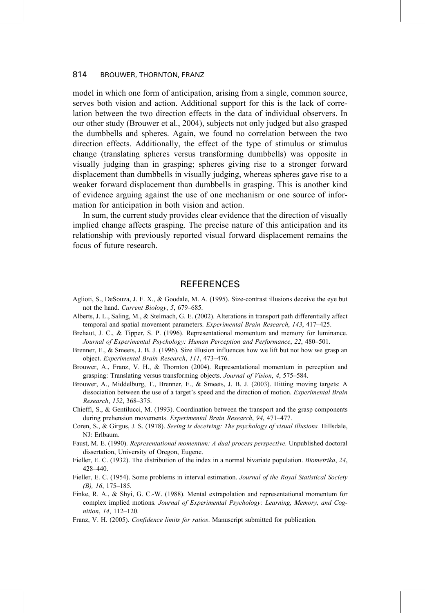model in which one form of anticipation, arising from a single, common source, serves both vision and action. Additional support for this is the lack of correlation between the two direction effects in the data of individual observers. In our other study (Brouwer et al., 2004), subjects not only judged but also grasped the dumbbells and spheres. Again, we found no correlation between the two direction effects. Additionally, the effect of the type of stimulus or stimulus change (translating spheres versus transforming dumbbells) was opposite in visually judging than in grasping; spheres giving rise to a stronger forward displacement than dumbbells in visually judging, whereas spheres gave rise to a weaker forward displacement than dumbbells in grasping. This is another kind of evidence arguing against the use of one mechanism or one source of information for anticipation in both vision and action.

In sum, the current study provides clear evidence that the direction of visually implied change affects grasping. The precise nature of this anticipation and its relationship with previously reported visual forward displacement remains the focus of future research.

## **REFERENCES**

- Aglioti, S., DeSouza, J. F. X., & Goodale, M. A. (1995). Size-contrast illusions deceive the eye but not the hand. Current Biology, 5, 679-685.
- Alberts, J. L., Saling, M., & Stelmach, G. E. (2002). Alterations in transport path differentially affect temporal and spatial movement parameters. Experimental Brain Research, 143, 417-425.
- Brehaut, J. C., & Tipper, S. P. (1996). Representational momentum and memory for luminance. Journal of Experimental Psychology: Human Perception and Performance, 22, 480-501.
- Brenner, E., & Smeets, J. B. J. (1996). Size illusion influences how we lift but not how we grasp an object. Experimental Brain Research, 111, 473-476.
- Brouwer, A., Franz, V. H., & Thornton (2004). Representational momentum in perception and grasping: Translating versus transforming objects. Journal of Vision, 4, 575–584.
- Brouwer, A., Middelburg, T., Brenner, E., & Smeets, J. B. J. (2003). Hitting moving targets: A dissociation between the use of a target's speed and the direction of motion. Experimental Brain Research, 152, 368-375.
- Chieffi, S., & Gentilucci, M. (1993). Coordination between the transport and the grasp components during prehension movements. Experimental Brain Research, 94, 471-477.
- Coren, S., & Girgus, J. S. (1978). Seeing is deceiving: The psychology of visual illusions. Hillsdale, NJ: Erlbaum.
- Faust, M. E. (1990). Representational momentum: A dual process perspective. Unpublished doctoral dissertation, University of Oregon, Eugene.
- Fieller, E. C. (1932). The distribution of the index in a normal bivariate population. *Biometrika*, 24,  $428 - 440.$
- Fieller, E. C. (1954). Some problems in interval estimation. Journal of the Royal Statistical Society  $(B)$ , 16, 175-185.
- Finke, R. A., & Shyi, G. C.-W. (1988). Mental extrapolation and representational momentum for complex implied motions. Journal of Experimental Psychology: Learning, Memory, and Cognition, 14, 112-120.
- Franz, V. H. (2005). Confidence limits for ratios. Manuscript submitted for publication.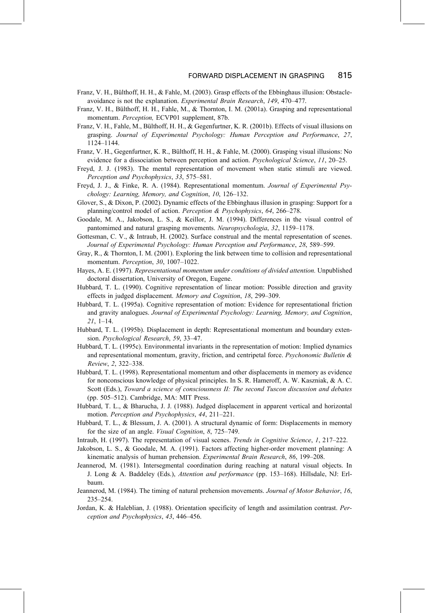- Franz, V. H., Bülthoff, H. H., & Fahle, M. (2003). Grasp effects of the Ebbinghaus illusion: Obstacleavoidance is not the explanation. Experimental Brain Research, 149, 470-477.
- Franz, V. H., Bülthoff, H. H., Fahle, M., & Thornton, I. M. (2001a). Grasping and representational momentum. Perception, ECVP01 supplement, 87b.
- Franz, V. H., Fahle, M., Bülthoff, H. H., & Gegenfurtner, K. R. (2001b). Effects of visual illusions on grasping. Journal of Experimental Psychology: Human Perception and Performance, 27, 1124-1144.
- Franz, V. H., Gegenfurtner, K. R., Bülthoff, H. H., & Fahle, M. (2000). Grasping visual illusions: No evidence for a dissociation between perception and action. *Psychological Science*, 11, 20–25.
- Freyd, J. J. (1983). The mental representation of movement when static stimuli are viewed. Perception and Psychophysics, 33, 575-581.
- Freyd, J. J., & Finke, R. A. (1984). Representational momentum. Journal of Experimental Psychology: Learning, Memory, and Cognition, 10, 126–132.
- Glover, S., & Dixon, P. (2002). Dynamic effects of the Ebbinghaus illusion in grasping: Support for a planning/control model of action. Perception & Psychophysics, 64, 266-278.
- Goodale, M. A., Jakobson, L. S., & Keillor, J. M. (1994). Differences in the visual control of pantomimed and natural grasping movements. Neuropsychologia, 32, 1159-1178.
- Gottesman, C. V., & Intraub, H. (2002). Surface construal and the mental representation of scenes. Journal of Experimental Psychology: Human Perception and Performance, 28, 589–599.
- Gray, R., & Thornton, I. M. (2001). Exploring the link between time to collision and representational momentum. Perception, 30, 1007-1022.
- Hayes, A. E. (1997). Representational momentum under conditions of divided attention. Unpublished doctoral dissertation, University of Oregon, Eugene.
- Hubbard, T. L. (1990). Cognitive representation of linear motion: Possible direction and gravity effects in judged displacement. Memory and Cognition, 18, 299–309.
- Hubbard, T. L. (1995a). Cognitive representation of motion: Evidence for representational friction and gravity analogues. Journal of Experimental Psychology: Learning, Memory, and Cognition,  $21, 1-14.$
- Hubbard, T. L. (1995b). Displacement in depth: Representational momentum and boundary extension. Psychological Research, 59, 33-47.
- Hubbard, T. L. (1995c). Environmental invariants in the representation of motion: Implied dynamics and representational momentum, gravity, friction, and centripetal force. Psychonomic Bulletin  $\&$ Review, 2, 322-338.
- Hubbard, T. L. (1998). Representational momentum and other displacements in memory as evidence for nonconscious knowledge of physical principles. In S. R. Hameroff, A. W. Kaszniak, & A. C. Scott (Eds.), Toward a science of consciousness II: The second Tuscon discussion and debates (pp. 505-512). Cambridge, MA: MIT Press.
- Hubbard, T. L., & Bharucha, J. J. (1988). Judged displacement in apparent vertical and horizontal motion. Perception and Psychophysics, 44, 211-221.
- Hubbard, T. L., & Blessum, J. A. (2001). A structural dynamic of form: Displacements in memory for the size of an angle. *Visual Cognition*, 8, 725–749.
- Intraub, H. (1997). The representation of visual scenes. *Trends in Cognitive Science*, 1, 217–222.
- Jakobson, L. S., & Goodale, M. A. (1991). Factors affecting higher-order movement planning: A kinematic analysis of human prehension. Experimental Brain Research, 86, 199–208.
- Jeannerod, M. (1981). Intersegmental coordination during reaching at natural visual objects. In J. Long & A. Baddeley (Eds.), Attention and performance (pp. 153-168). Hillsdale, NJ: Erlbaum.
- Jeannerod, M. (1984). The timing of natural prehension movements. Journal of Motor Behavior, 16,  $235 - 254$ .
- Jordan, K. & Haleblian, J. (1988). Orientation specificity of length and assimilation contrast. Perception and Psychophysics, 43, 446-456.